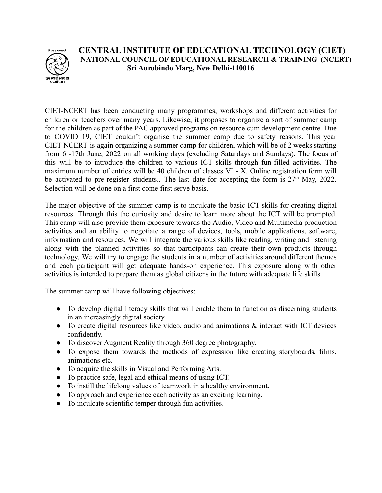

## **CENTRAL INSTITUTE OF EDUCATIONAL TECHNOLOGY (CIET) NATIONAL COUNCIL OF EDUCATIONAL RESEARCH & TRAINING (NCERT) Sri Aurobindo Marg, New Delhi-110016**

CIET-NCERT has been conducting many programmes, workshops and different activities for children or teachers over many years. Likewise, it proposes to organize a sort of summer camp for the children as part of the PAC approved programs on resource cum development centre. Due to COVID 19, CIET couldn't organise the summer camp due to safety reasons. This year CIET-NCERT is again organizing a summer camp for children, which will be of 2 weeks starting from 6 -17th June, 2022 on all working days (excluding Saturdays and Sundays). The focus of this will be to introduce the children to various ICT skills through fun-filled activities. The maximum number of entries will be 40 children of classes VI - X. Online registration form will be activated to pre-register students.. The last date for accepting the form is  $27<sup>th</sup>$  May, 2022. Selection will be done on a first come first serve basis.

The major objective of the summer camp is to inculcate the basic ICT skills for creating digital resources. Through this the curiosity and desire to learn more about the ICT will be prompted. This camp will also provide them exposure towards the Audio, Video and Multimedia production activities and an ability to negotiate a range of devices, tools, mobile applications, software, information and resources. We will integrate the various skills like reading, writing and listening along with the planned activities so that participants can create their own products through technology. We will try to engage the students in a number of activities around different themes and each participant will get adequate hands-on experience. This exposure along with other activities is intended to prepare them as global citizens in the future with adequate life skills.

The summer camp will have following objectives:

- To develop digital literacy skills that will enable them to function as discerning students in an increasingly digital society.
- To create digital resources like video, audio and animations & interact with ICT devices confidently.
- To discover Augment Reality through 360 degree photography.
- To expose them towards the methods of expression like creating storyboards, films, animations etc.
- To acquire the skills in Visual and Performing Arts.
- To practice safe, legal and ethical means of using ICT.
- To instill the lifelong values of teamwork in a healthy environment.
- To approach and experience each activity as an exciting learning.
- To inculcate scientific temper through fun activities.